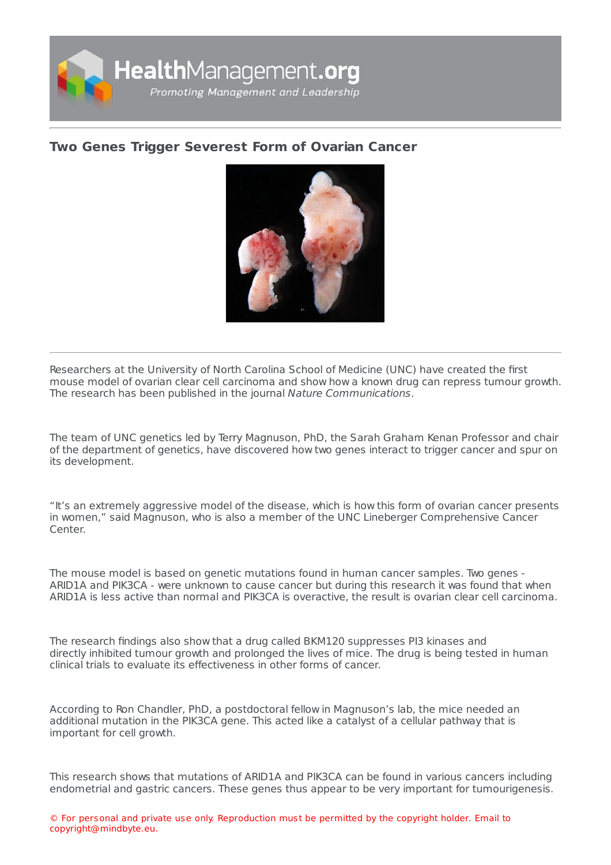

## **Two Genes Trigger [Severest](https://healthmanagement.org/s/two-genes-trigger-severest-form-of-ovarian-cancer) Form of Ovarian Cancer**



Researchers at the University of North Carolina School of Medicine (UNC) have created the first mouse model of ovarian clear cell carcinoma and show how a known drug can repress tumour growth. The research has been published in the journal Nature Communications.

The team of UNC genetics led by Terry Magnuson, PhD, the Sarah Graham Kenan Professor and chair of the department of genetics, have discovered how two genes interact to trigger cancer and spur on its development.

"It's an extremely aggressive model of the disease, which is how this form of ovarian cancer presents in women," said Magnuson, who is also a member of the UNC Lineberger Comprehensive Cancer Center.

The mouse model is based on genetic mutations found in human cancer samples. Two genes - ARID1A and PIK3CA - were unknown to cause cancer but during this research it was found that when ARID1A is less active than normal and PIK3CA is overactive, the result is ovarian clear cell carcinoma.

The research findings also show that a drug called BKM120 suppresses PI3 kinases and directly inhibited tumour growth and prolonged the lives of mice. The drug is being tested in human clinical trials to evaluate its effectiveness in other forms of cancer.

According to Ron Chandler, PhD, a postdoctoral fellow in Magnuson's lab, the mice needed an additional mutation in the PIK3CA gene. This acted like a catalyst of a cellular pathway that is important for cell growth.

This research shows that mutations of ARID1A and PIK3CA can be found in various cancers including endometrial and gastric cancers. These genes thus appear to be very important for tumourigenesis.